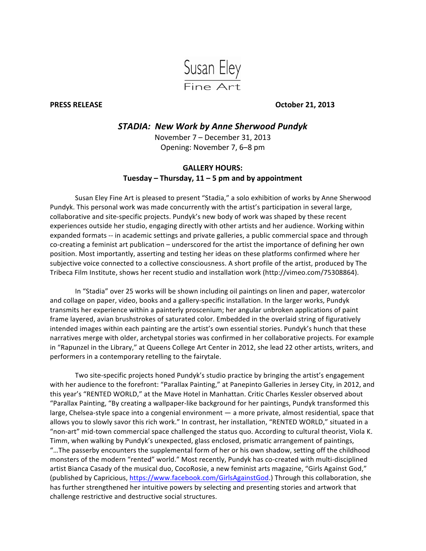

**PRESS RELEASE October 21, 2013** 

## *STADIA:' New'Work'by'Anne'Sherwood'Pundyk*

November 7 – December 31, 2013 Opening: November 7, 6–8 pm

## **GALLERY%HOURS: Tuesday%– Thursday,%11%– 5%pm%and%by%appointment**

Susan Eley Fine Art is pleased to present "Stadia," a solo exhibition of works by Anne Sherwood Pundyk. This personal work was made concurrently with the artist's participation in several large, collaborative and site-specific projects. Pundyk's new body of work was shaped by these recent experiences outside her studio, engaging directly with other artists and her audience. Working within expanded formats -- in academic settings and private galleries, a public commercial space and through co-creating a feminist art publication – underscored for the artist the importance of defining her own position. Most importantly, asserting and testing her ideas on these platforms confirmed where her subjective voice connected to a collective consciousness. A short profile of the artist, produced by The Tribeca Film Institute, shows her recent studio and installation work (http://vimeo.com/75308864).

In "Stadia" over 25 works will be shown including oil paintings on linen and paper, watercolor and collage on paper, video, books and a gallery-specific installation. In the larger works, Pundyk transmits her experience within a painterly proscenium; her angular unbroken applications of paint frame layered, avian brushstrokes of saturated color. Embedded in the overlaid string of figuratively intended images within each painting are the artist's own essential stories. Pundyk's hunch that these narratives merge with older, archetypal stories was confirmed in her collaborative projects. For example in "Rapunzel in the Library," at Queens College Art Center in 2012, she lead 22 other artists, writers, and performers in a contemporary retelling to the fairytale.

Two site-specific projects honed Pundyk's studio practice by bringing the artist's engagement with her audience to the forefront: "Parallax Painting," at Panepinto Galleries in Jersey City, in 2012, and this year's "RENTED WORLD," at the Mave Hotel in Manhattan. Critic Charles Kessler observed about "Parallax Painting, "By creating a wallpaper-like background for her paintings, Pundyk transformed this large, Chelsea-style space into a congenial environment — a more private, almost residential, space that allows you to slowly savor this rich work." In contrast, her installation, "RENTED WORLD," situated in a "non-art" mid-town commercial space challenged the status quo. According to cultural theorist, Viola K. Timm, when walking by Pundyk's unexpected, glass enclosed, prismatic arrangement of paintings, "...The passerby encounters the supplemental form of her or his own shadow, setting off the childhood monsters of the modern "rented" world." Most recently, Pundyk has co-created with multi-disciplined artist Bianca Casady of the musical duo, CocoRosie, a new feminist arts magazine, "Girls Against God," (published by Capricious, https://www.facebook.com/GirlsAgainstGod.) Through this collaboration, she has further strengthened her intuitive powers by selecting and presenting stories and artwork that challenge restrictive and destructive social structures.